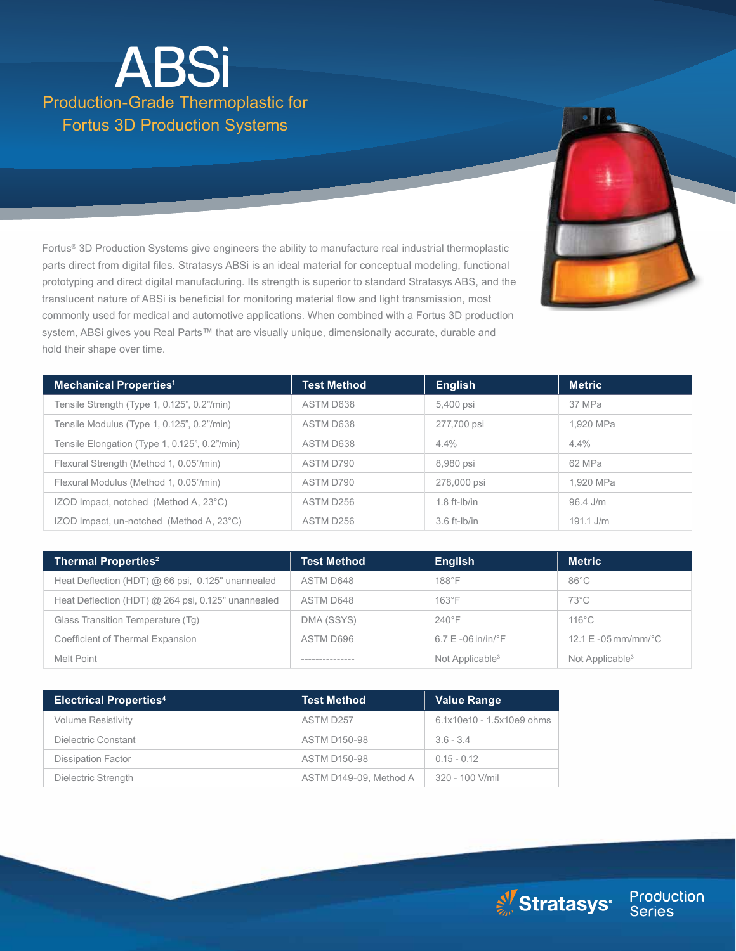# Production-Grade Thermoplastic for Fortus 3D Production Systems **ABSi**

Fortus® 3D Production Systems give engineers the ability to manufacture real industrial thermoplastic parts direct from digital files. Stratasys ABSi is an ideal material for conceptual modeling, functional prototyping and direct digital manufacturing. Its strength is superior to standard Stratasys ABS, and the translucent nature of ABSi is beneficial for monitoring material flow and light transmission, most commonly used for medical and automotive applications. When combined with a Fortus 3D production system, ABSi gives you Real Parts™ that are visually unique, dimensionally accurate, durable and hold their shape over time.



| <b>Thermal Properties<sup>2</sup></b>              | <b>Test Method</b> | <b>English</b>                                   | <b>Metric</b>                           |
|----------------------------------------------------|--------------------|--------------------------------------------------|-----------------------------------------|
| Heat Deflection (HDT) @ 66 psi, 0.125" unannealed  | ASTM D648          | $188^\circ F$                                    | $86^{\circ}$ C                          |
| Heat Deflection (HDT) @ 264 psi, 0.125" unannealed | ASTM D648          | $163^{\circ}$ F                                  | $73^{\circ}$ C                          |
| Glass Transition Temperature (Tg)                  | DMA (SSYS)         | $240^{\circ}$ F                                  | $116^{\circ}$ C                         |
| Coefficient of Thermal Expansion                   | ASTM D696          | $6.7 \mathrm{E}$ -06 in/in/ $\mathrm{^{\circ}F}$ | $12.1 \text{ E} - 05 \text{ mm/mm}$ ° C |
| Melt Point                                         |                    | Not Applicable <sup>3</sup>                      | Not Applicable <sup>3</sup>             |

| <b>Electrical Properties4</b> | <b>Test Method</b>     | <b>Value Range</b>        |
|-------------------------------|------------------------|---------------------------|
| <b>Volume Resistivity</b>     | ASTM D257              | 6.1x10e10 - 1.5x10e9 ohms |
| Dielectric Constant           | <b>ASTM D150-98</b>    | $3.6 - 3.4$               |
| <b>Dissipation Factor</b>     | <b>ASTM D150-98</b>    | $015 - 012$               |
| Dielectric Strength           | ASTM D149-09, Method A | 320 - 100 V/mil           |

Stratasys<sup>®</sup> | Production